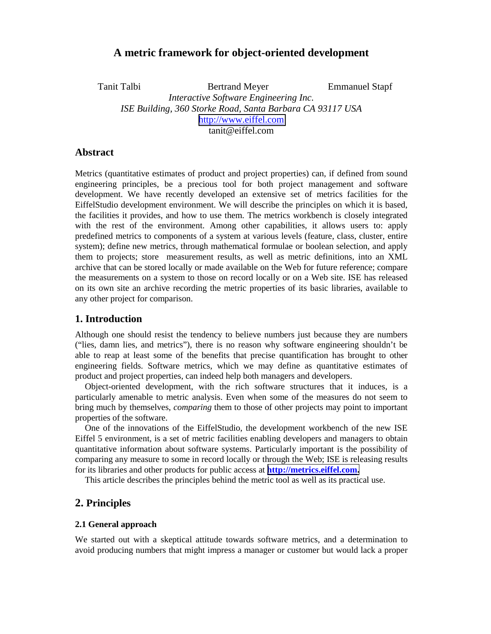## **A metric framework for object-oriented development**

Tanit Talbi **Bertrand Meyer** Emmanuel Stapf *Interactive Software Engineering Inc. ISE Building, 360 Storke Road, Santa Barbara CA 93117 USA* 

[http://www.eiffel.com](http://www.eiffel.com/)

tanit@eiffel.com

### **Abstract**

Metrics (quantitative estimates of product and project properties) can, if defined from sound engineering principles, be a precious tool for both project management and software development. We have recently developed an extensive set of metrics facilities for the EiffelStudio development environment. We will describe the principles on which it is based, the facilities it provides, and how to use them. The metrics workbench is closely integrated with the rest of the environment. Among other capabilities, it allows users to: apply predefined metrics to components of a system at various levels (feature, class, cluster, entire system); define new metrics, through mathematical formulae or boolean selection, and apply them to projects; store measurement results, as well as metric definitions, into an XML archive that can be stored locally or made available on the Web for future reference; compare the measurements on a system to those on record locally or on a Web site. ISE has released on its own site an archive recording the metric properties of its basic libraries, available to any other project for comparison.

### **1. Introduction**

Although one should resist the tendency to believe numbers just because they are numbers ("lies, damn lies, and metrics"), there is no reason why software engineering shouldn't be able to reap at least some of the benefits that precise quantification has brought to other engineering fields. Software metrics, which we may define as quantitative estimates of product and project properties, can indeed help both managers and developers.

Object-oriented development, with the rich software structures that it induces, is a particularly amenable to metric analysis. Even when some of the measures do not seem to bring much by themselves, *comparing* them to those of other projects may point to important properties of the software.

One of the innovations of the EiffelStudio, the development workbench of the new ISE Eiffel 5 environment, is a set of metric facilities enabling developers and managers to obtain quantitative information about software systems. Particularly important is the possibility of comparing any measure to some in record locally or through the Web; ISE is releasing results for its libraries and other products for public access at **[http://metrics.eiffel.com.](http://metrics.eiffel.com/)** 

This article describes the principles behind the metric tool as well as its practical use.

### **2. Principles**

#### **2.1 General approach**

We started out with a skeptical attitude towards software metrics, and a determination to avoid producing numbers that might impress a manager or customer but would lack a proper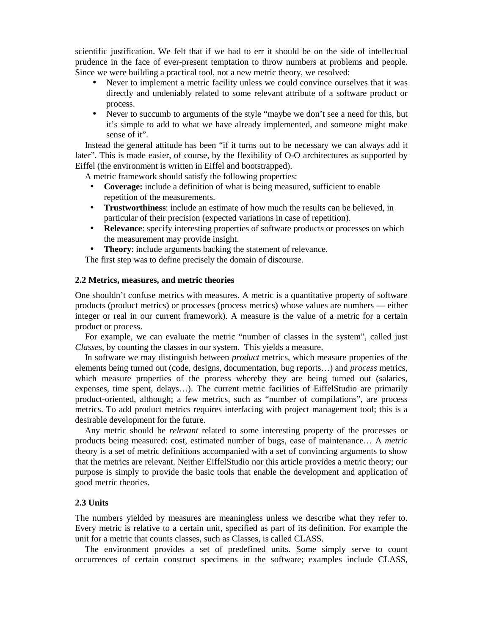scientific justification. We felt that if we had to err it should be on the side of intellectual prudence in the face of ever-present temptation to throw numbers at problems and people. Since we were building a practical tool, not a new metric theory, we resolved:

- Never to implement a metric facility unless we could convince ourselves that it was directly and undeniably related to some relevant attribute of a software product or process.
- Never to succumb to arguments of the style "maybe we don't see a need for this, but it's simple to add to what we have already implemented, and someone might make sense of it".

Instead the general attitude has been "if it turns out to be necessary we can always add it later". This is made easier, of course, by the flexibility of O-O architectures as supported by Eiffel (the environment is written in Eiffel and bootstrapped).

A metric framework should satisfy the following properties:

- **Coverage:** include a definition of what is being measured, sufficient to enable repetition of the measurements.
- **Trustworthiness**: include an estimate of how much the results can be believed, in particular of their precision (expected variations in case of repetition).
- **Relevance**: specify interesting properties of software products or processes on which the measurement may provide insight.
- **Theory**: include arguments backing the statement of relevance.

The first step was to define precisely the domain of discourse.

#### **2.2 Metrics, measures, and metric theories**

One shouldn't confuse metrics with measures. A metric is a quantitative property of software products (product metrics) or processes (process metrics) whose values are numbers — either integer or real in our current framework). A measure is the value of a metric for a certain product or process.

For example, we can evaluate the metric "number of classes in the system", called just *Classes*, by counting the classes in our system. This yields a measure.

In software we may distinguish between *product* metrics, which measure properties of the elements being turned out (code, designs, documentation, bug reports…) and *process* metrics, which measure properties of the process whereby they are being turned out (salaries, expenses, time spent, delays…). The current metric facilities of EiffelStudio are primarily product-oriented, although; a few metrics, such as "number of compilations", are process metrics. To add product metrics requires interfacing with project management tool; this is a desirable development for the future.

Any metric should be *relevant* related to some interesting property of the processes or products being measured: cost, estimated number of bugs, ease of maintenance… A *metric*  theory is a set of metric definitions accompanied with a set of convincing arguments to show that the metrics are relevant. Neither EiffelStudio nor this article provides a metric theory; our purpose is simply to provide the basic tools that enable the development and application of good metric theories.

### **2.3 Units**

The numbers yielded by measures are meaningless unless we describe what they refer to. Every metric is relative to a certain unit, specified as part of its definition. For example the unit for a metric that counts classes, such as Classes, is called CLASS.

The environment provides a set of predefined units. Some simply serve to count occurrences of certain construct specimens in the software; examples include CLASS,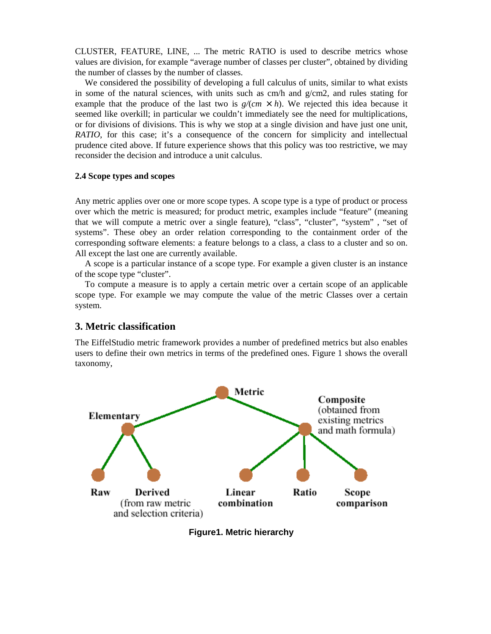CLUSTER, FEATURE, LINE, ... The metric RATIO is used to describe metrics whose values are division, for example "average number of classes per cluster", obtained by dividing the number of classes by the number of classes.

We considered the possibility of developing a full calculus of units, similar to what exists in some of the natural sciences, with units such as cm/h and  $g/cm2$ , and rules stating for example that the produce of the last two is  $g/(cm \times h)$ . We rejected this idea because it seemed like overkill; in particular we couldn't immediately see the need for multiplications, or for divisions of divisions. This is why we stop at a single division and have just one unit, *RATIO*, for this case; it's a consequence of the concern for simplicity and intellectual prudence cited above. If future experience shows that this policy was too restrictive, we may reconsider the decision and introduce a unit calculus.

#### **2.4 Scope types and scopes**

Any metric applies over one or more scope types. A scope type is a type of product or process over which the metric is measured; for product metric, examples include "feature" (meaning that we will compute a metric over a single feature), "class", "cluster", "system" , "set of systems". These obey an order relation corresponding to the containment order of the corresponding software elements: a feature belongs to a class, a class to a cluster and so on. All except the last one are currently available.

A scope is a particular instance of a scope type. For example a given cluster is an instance of the scope type "cluster".

To compute a measure is to apply a certain metric over a certain scope of an applicable scope type. For example we may compute the value of the metric Classes over a certain system.

### **3. Metric classification**

The EiffelStudio metric framework provides a number of predefined metrics but also enables users to define their own metrics in terms of the predefined ones. Figure 1 shows the overall taxonomy,



**Figure1. Metric hierarchy**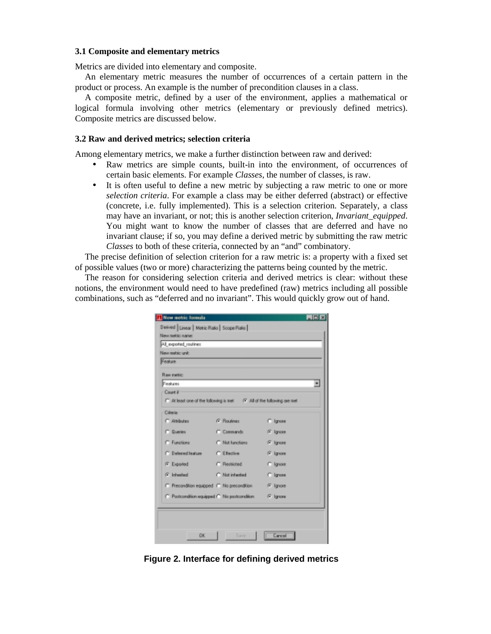#### **3.1 Composite and elementary metrics**

Metrics are divided into elementary and composite.

An elementary metric measures the number of occurrences of a certain pattern in the product or process. An example is the number of precondition clauses in a class.

A composite metric, defined by a user of the environment, applies a mathematical or logical formula involving other metrics (elementary or previously defined metrics). Composite metrics are discussed below.

#### **3.2 Raw and derived metrics; selection criteria**

Among elementary metrics, we make a further distinction between raw and derived:

- Raw metrics are simple counts, built-in into the environment, of occurrences of certain basic elements. For example *Classes*, the number of classes, is raw.
- It is often useful to define a new metric by subjecting a raw metric to one or more *selection criteria*. For example a class may be either deferred (abstract) or effective (concrete, i.e. fully implemented). This is a selection criterion. Separately, a class may have an invariant, or not; this is another selection criterion, *Invariant\_equipped*. You might want to know the number of classes that are deferred and have no invariant clause; if so, you may define a derived metric by submitting the raw metric *Classes* to both of these criteria, connected by an "and" combinatory.

The precise definition of selection criterion for a raw metric is: a property with a fixed set of possible values (two or more) characterizing the patterns being counted by the metric.

The reason for considering selection criteria and derived metrics is clear: without these notions, the environment would need to have predefined (raw) metrics including all possible combinations, such as "deferred and no invariant". This would quickly grow out of hand.

| All exported routines |                                                                       |                       |   |
|-----------------------|-----------------------------------------------------------------------|-----------------------|---|
| New metric unit:      |                                                                       |                       |   |
| Feature               |                                                                       |                       |   |
| <b>Raw nettic</b>     |                                                                       |                       |   |
| Features              |                                                                       |                       | ٠ |
| Count if              |                                                                       |                       |   |
|                       | F At least one of the following is met F All of the following are met |                       |   |
| Coleria               |                                                                       |                       |   |
| C Atributes           | G Routines                                                            | C Ignore              |   |
| <b>C</b> Queries      | C Comwards                                                            | FF Ignore             |   |
| C Functions           | C Not functions                                                       | <b>F</b> Ignore       |   |
| C Deterred feature    | C Elisative                                                           | <sup>(2</sup> Ignore) |   |
| <b>F</b> Exported     | C Restricted                                                          | C Ignore              |   |
| G. Inherited          | C Not inherited                                                       | C Ignore              |   |
|                       | C Precondition equipped C No precondition                             | FF Ignore             |   |
|                       | C Partcondition equipped C Na partcondition                           | <b>G</b> Ignore       |   |
|                       |                                                                       |                       |   |

**Figure 2. Interface for defining derived metrics**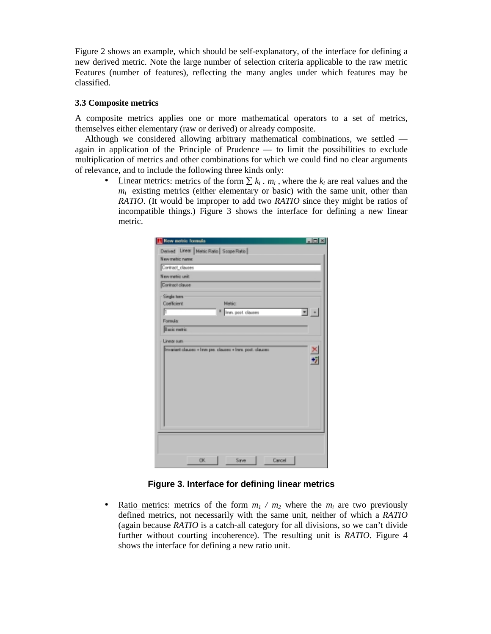Figure 2 shows an example, which should be self-explanatory, of the interface for defining a new derived metric. Note the large number of selection criteria applicable to the raw metric Features (number of features), reflecting the many angles under which features may be classified.

### **3.3 Composite metrics**

A composite metrics applies one or more mathematical operators to a set of metrics, themselves either elementary (raw or derived) or already composite.

Although we considered allowing arbitrary mathematical combinations, we settled again in application of the Principle of Prudence — to limit the possibilities to exclude multiplication of metrics and other combinations for which we could find no clear arguments of relevance, and to include the following three kinds only:

• Linear metrics: metrics of the form  $\sum k_i$ .  $m_i$ , where the  $k_i$  are real values and the  $m<sub>i</sub>$  existing metrics (either elementary or basic) with the same unit, other than *RATIO*. (It would be improper to add two *RATIO* since they might be ratios of incompatible things.) Figure 3 shows the interface for defining a new linear metric.

| <b>Kew nettic formula</b>                              | $-10x$                          |
|--------------------------------------------------------|---------------------------------|
| Derived Linear Metric Ratio Scope Ratio                |                                 |
| New metric name:                                       |                                 |
| Contract classes                                       |                                 |
| New netric unit.                                       |                                 |
| Contract clause                                        |                                 |
| Single term<br><b>Coefficient</b>                      |                                 |
| Metric:<br>lF<br>Imm. post. clauses                    | $\blacksquare$<br>$\rightarrow$ |
| Fornula:                                               |                                 |
| <b>Baric metric</b>                                    |                                 |
|                                                        |                                 |
| Linear sum                                             |                                 |
| meariant clauses +1mm pee, clauses +1mm, post, clauses |                                 |
|                                                        |                                 |
|                                                        |                                 |
|                                                        |                                 |
|                                                        |                                 |
|                                                        |                                 |
|                                                        |                                 |
|                                                        |                                 |
|                                                        |                                 |
|                                                        |                                 |
|                                                        |                                 |
|                                                        |                                 |
|                                                        |                                 |
|                                                        |                                 |
| Cancel<br>OK.<br>Save                                  |                                 |

## **Figure 3. Interface for defining linear metrics**

• Ratio metrics: metrics of the form  $m_1 / m_2$  where the  $m_i$  are two previously defined metrics, not necessarily with the same unit, neither of which a *RATIO* (again because *RATIO* is a catch-all category for all divisions, so we can't divide further without courting incoherence). The resulting unit is *RATIO*. Figure 4 shows the interface for defining a new ratio unit.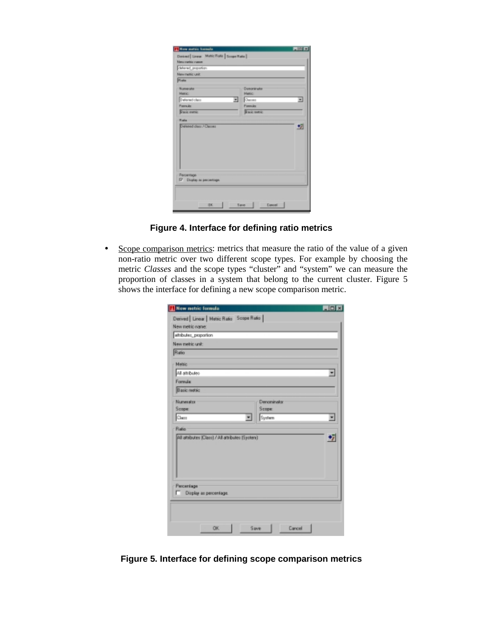| Desved   Linear Mehic Flatis   Scope Kalia  <br><b>Mercuryship come</b> |                                |   |
|-------------------------------------------------------------------------|--------------------------------|---|
| determit propertion                                                     |                                |   |
| <b>Newmahiz unit</b>                                                    |                                |   |
| <b>Platter</b>                                                          |                                |   |
| Numerate<br>Matic:                                                      | Demoninato<br><b>Intervice</b> |   |
| Externol class<br>ᅬ                                                     | <b>Classes</b>                 | ۰ |
| Formula                                                                 | <b>Formula</b>                 |   |
| <b>Frank menic</b>                                                      | <b>RICHARD</b>                 |   |
|                                                                         |                                |   |
| Ratio                                                                   |                                |   |
| Dalened class / Classes                                                 |                                | 切 |
|                                                                         |                                |   |
|                                                                         |                                |   |
|                                                                         |                                |   |
| Porpervage<br>F Display as precentage.                                  |                                |   |

**Figure 4. Interface for defining ratio metrics**

• Scope comparison metrics: metrics that measure the ratio of the value of a given non-ratio metric over two different scope types. For example by choosing the metric *Classes* and the scope types "cluster" and "system" we can measure the proportion of classes in a system that belong to the current cluster. Figure 5 shows the interface for defining a new scope comparison metric.

| athbutes proportion                              |              |              |   |  |
|--------------------------------------------------|--------------|--------------|---|--|
| New metric unit:                                 |              |              |   |  |
| Ratio                                            |              |              |   |  |
| Metric                                           |              |              |   |  |
| All attributes                                   |              |              | ٠ |  |
| Fornula:                                         |              |              |   |  |
| <b>Basic restrict</b>                            |              |              |   |  |
| Numerator                                        |              | Denominator  |   |  |
| Scope                                            |              | <b>Scope</b> |   |  |
| Clarr                                            | System<br>٠ı |              |   |  |
| Ratio                                            |              |              |   |  |
| All attributes (Class) / All attributes (System) |              |              | 7 |  |
|                                                  |              |              |   |  |
|                                                  |              |              |   |  |
|                                                  |              |              |   |  |
|                                                  |              |              |   |  |
|                                                  |              |              |   |  |
|                                                  |              |              |   |  |
| Percentage<br>Display as percentage.             |              |              |   |  |
|                                                  |              |              |   |  |

**Figure 5. Interface for defining scope comparison metrics**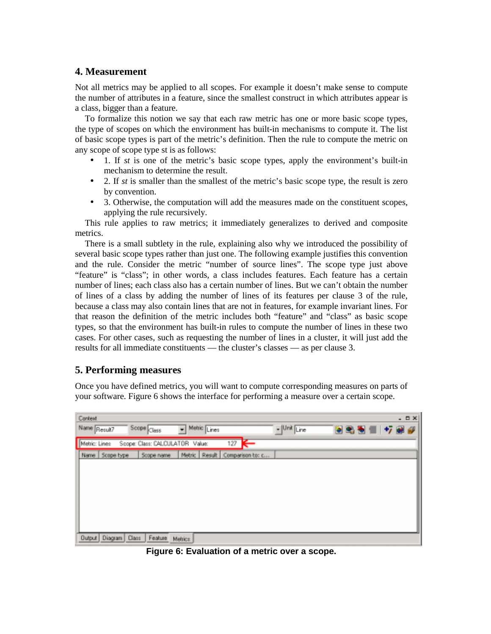## **4. Measurement**

Not all metrics may be applied to all scopes. For example it doesn't make sense to compute the number of attributes in a feature, since the smallest construct in which attributes appear is a class, bigger than a feature.

To formalize this notion we say that each raw metric has one or more basic scope types, the type of scopes on which the environment has built-in mechanisms to compute it. The list of basic scope types is part of the metric's definition. Then the rule to compute the metric on any scope of scope type st is as follows:

- 1. If *st* is one of the metric's basic scope types, apply the environment's built-in mechanism to determine the result.
- 2. If *st* is smaller than the smallest of the metric's basic scope type, the result is zero by convention.
- 3. Otherwise, the computation will add the measures made on the constituent scopes, applying the rule recursively.

This rule applies to raw metrics; it immediately generalizes to derived and composite metrics.

There is a small subtlety in the rule, explaining also why we introduced the possibility of several basic scope types rather than just one. The following example justifies this convention and the rule. Consider the metric "number of source lines". The scope type just above "feature" is "class"; in other words, a class includes features. Each feature has a certain number of lines; each class also has a certain number of lines. But we can't obtain the number of lines of a class by adding the number of lines of its features per clause 3 of the rule, because a class may also contain lines that are not in features, for example invariant lines. For that reason the definition of the metric includes both "feature" and "class" as basic scope types, so that the environment has built-in rules to compute the number of lines in these two cases. For other cases, such as requesting the number of lines in a cluster, it will just add the results for all immediate constituents — the cluster's classes — as per clause 3.

# **5. Performing measures**

Once you have defined metrics, you will want to compute corresponding measures on parts of your software. Figure 6 shows the interface for performing a measure over a certain scope.

| . <b>. x</b><br>Context                                                  |  |
|--------------------------------------------------------------------------|--|
| Name Result7<br>Scope Class<br>Metric Lines<br>$-$ Unit Line<br>圓島園■ サヨタ |  |
| Metric: Lines<br>←<br>Scope: Class: CALCULATOR Value:<br>127             |  |
| Metric Result Comparison to: c<br>Name Scope type<br>Scope name          |  |
|                                                                          |  |
|                                                                          |  |
|                                                                          |  |
|                                                                          |  |
|                                                                          |  |
|                                                                          |  |
|                                                                          |  |
| Feature Metrics<br>Output Diagram Class                                  |  |

**Figure 6: Evaluation of a metric over a scope.**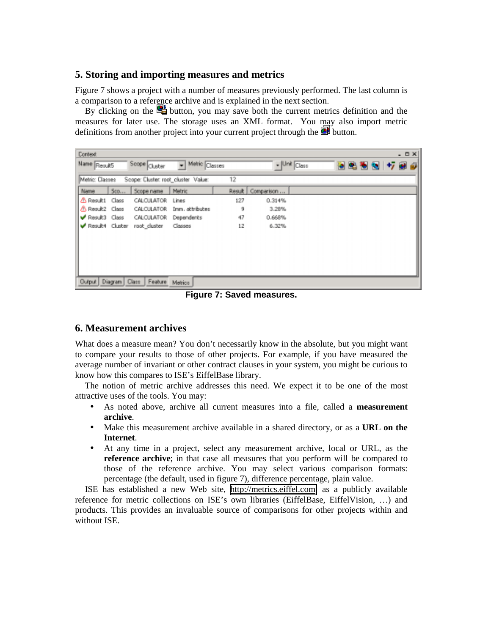## **5. Storing and importing measures and metrics**

Figure 7 shows a project with a number of measures previously performed. The last column is a comparison to a reference archive and is explained in the next section.

By clicking on the  $\mathbb{E}$  button, you may save both the current metrics definition and the measures for later use. The storage uses an XML format. You may also import metric definitions from another project into your current project through the  $\Box$  button.

| <b>Context</b> |                                      |     |               |                                     |     |                     |              |  |          | $ \Box$ $\times$ |
|----------------|--------------------------------------|-----|---------------|-------------------------------------|-----|---------------------|--------------|--|----------|------------------|
|                | Name Result5                         |     | Scope Cluster | Metric Classes<br>ᅱ                 |     |                     | - Unit Class |  | 日用图图 サヨヨ |                  |
|                | Metric: Classes                      |     |               | Scope: Cluster: root_cluster Value: | 12  |                     |              |  |          |                  |
|                | Name                                 | 500 | Scope name    | Metric                              |     | Result   Comparison |              |  |          |                  |
|                | △ Result1 Class                      |     | CALCULATOR    | Lines                               | 127 | 0.314%              |              |  |          |                  |
|                | A Result2 Class                      |     | CALCULATOR    | Imm. attributes                     | 9   | 3.28%               |              |  |          |                  |
|                | $\vee$ Result3 Class                 |     | CALCULATOR    | Dependents                          | 47  | 0.668%              |              |  |          |                  |
|                | Result4 Cluster                      |     | root cluster  | Classes                             | 12  | 6.32%               |              |  |          |                  |
|                |                                      |     |               |                                     |     |                     |              |  |          |                  |
|                |                                      |     |               |                                     |     |                     |              |  |          |                  |
|                |                                      |     |               |                                     |     |                     |              |  |          |                  |
|                |                                      |     |               |                                     |     |                     |              |  |          |                  |
|                |                                      |     |               |                                     |     |                     |              |  |          |                  |
|                | Output Diagram Class Feature Metrics |     |               |                                     |     |                     |              |  |          |                  |

**Figure 7: Saved measures.** 

# **6. Measurement archives**

What does a measure mean? You don't necessarily know in the absolute, but you might want to compare your results to those of other projects. For example, if you have measured the average number of invariant or other contract clauses in your system, you might be curious to know how this compares to ISE's EiffelBase library.

The notion of metric archive addresses this need. We expect it to be one of the most attractive uses of the tools. You may:

- As noted above, archive all current measures into a file, called a **measurement archive**.
- Make this measurement archive available in a shared directory, or as a **URL on the Internet**.
- At any time in a project, select any measurement archive, local or URL, as the **reference archive**; in that case all measures that you perform will be compared to those of the reference archive. You may select various comparison formats: percentage (the default, used in figure 7), difference percentage, plain value.

ISE has established a new Web site, [http://metrics.eiffel.com,](http://metrics.eiffel.com/) as a publicly available reference for metric collections on ISE's own libraries (EiffelBase, EiffelVision, …) and products. This provides an invaluable source of comparisons for other projects within and without ISE.